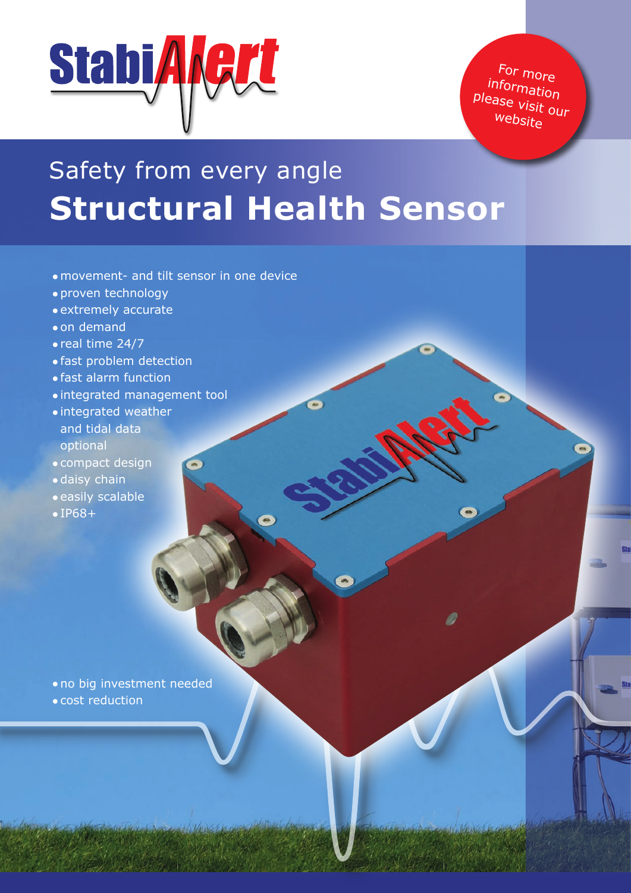

For more information please visit our website

# Safety from every angle **Structural Health Sensor**

- •movement- and tilt sensor in one device
- •proven technology
- •extremely accurate
- •on demand
- •real time 24/7
- •fast problem detection
- •fast alarm function
- •integrated management tool
- •integrated weather and tidal data optional
- •compact design
- •daisy chain
- •easily scalable
- •IP68+

- •no big investment needed
- •cost reduction